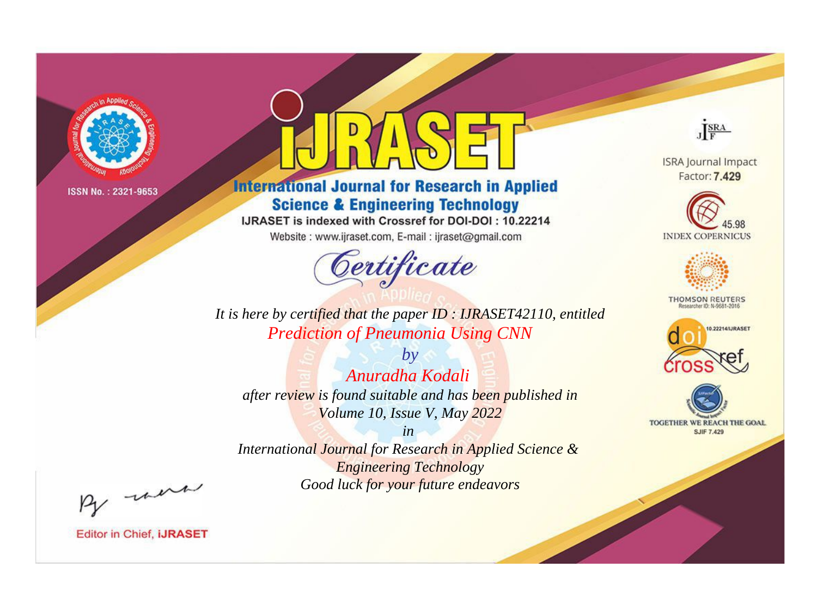

# **International Journal for Research in Applied Science & Engineering Technology**

IJRASET is indexed with Crossref for DOI-DOI: 10.22214

Website: www.ijraset.com, E-mail: ijraset@gmail.com



JERA

**ISRA Journal Impact** Factor: 7.429





**THOMSON REUTERS** 



TOGETHER WE REACH THE GOAL **SJIF 7.429** 

It is here by certified that the paper ID: IJRASET42110, entitled **Prediction of Pneumonia Using CNN** 

 $b\nu$ Anuradha Kodali after review is found suitable and has been published in Volume 10, Issue V, May 2022

 $in$ International Journal for Research in Applied Science & **Engineering Technology** Good luck for your future endeavors

By morn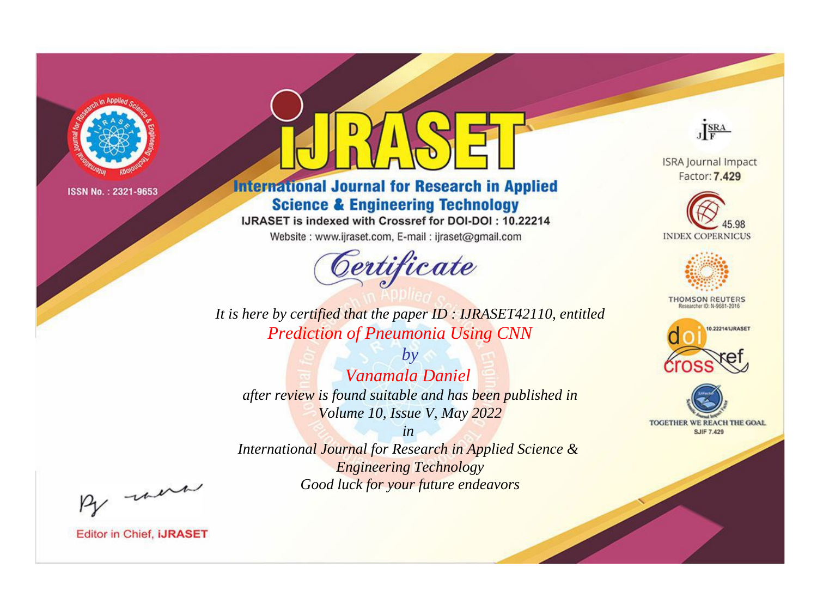

# **International Journal for Research in Applied Science & Engineering Technology**

IJRASET is indexed with Crossref for DOI-DOI: 10.22214

Website: www.ijraset.com, E-mail: ijraset@gmail.com



JERA

**ISRA Journal Impact** Factor: 7.429





**THOMSON REUTERS** 



TOGETHER WE REACH THE GOAL **SJIF 7.429** 

*It is here by certified that the paper ID : IJRASET42110, entitled Prediction of Pneumonia Using CNN*

*by Vanamala Daniel after review is found suitable and has been published in Volume 10, Issue V, May 2022*

*in* 

*International Journal for Research in Applied Science & Engineering Technology Good luck for your future endeavors*

By morn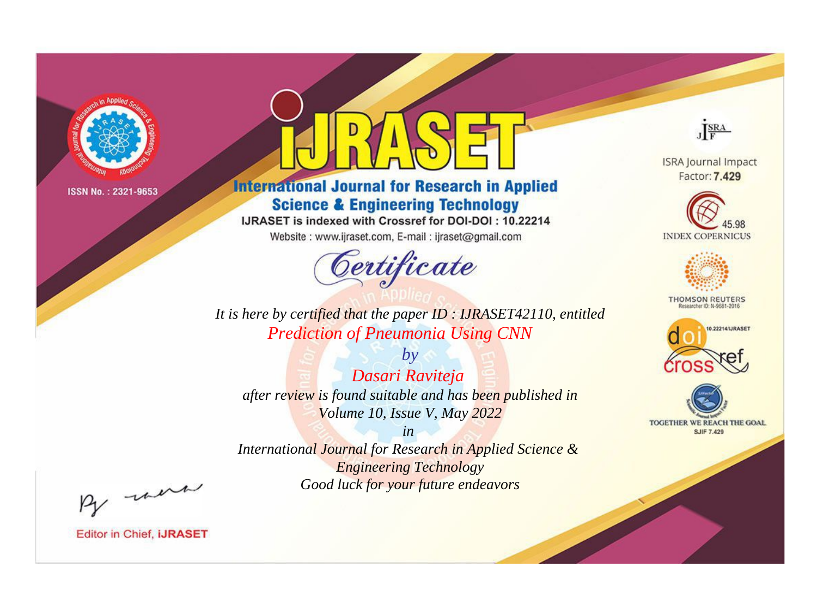

# **International Journal for Research in Applied Science & Engineering Technology**

IJRASET is indexed with Crossref for DOI-DOI: 10.22214

Website: www.ijraset.com, E-mail: ijraset@gmail.com



**ISRA Journal Impact** Factor: 7.429

JERA





**THOMSON REUTERS** 



TOGETHER WE REACH THE GOAL **SJIF 7.429** 

*It is here by certified that the paper ID : IJRASET42110, entitled Prediction of Pneumonia Using CNN*

*by Dasari Raviteja after review is found suitable and has been published in Volume 10, Issue V, May 2022*

*in* 

*International Journal for Research in Applied Science & Engineering Technology Good luck for your future endeavors*

By morn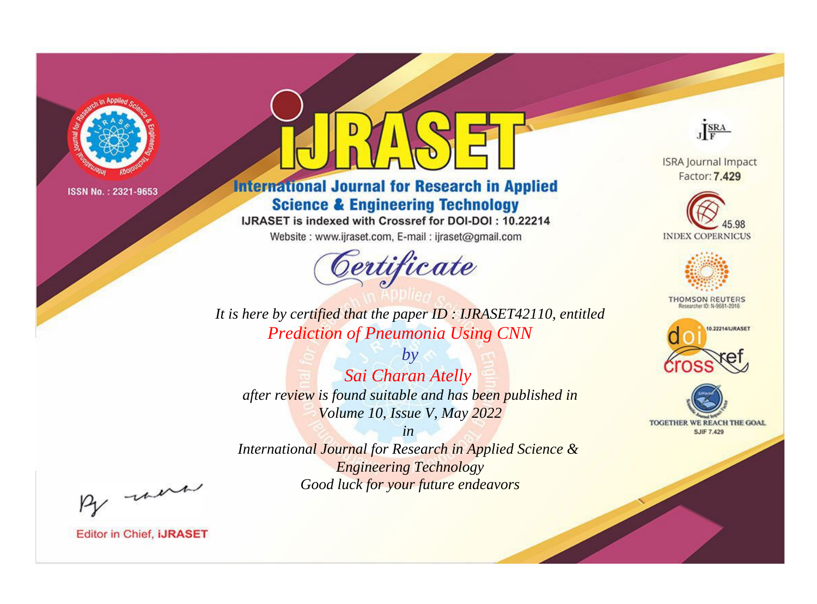

# **International Journal for Research in Applied Science & Engineering Technology**

IJRASET is indexed with Crossref for DOI-DOI: 10.22214

Website: www.ijraset.com, E-mail: ijraset@gmail.com



JERA

**ISRA Journal Impact** Factor: 7.429





**THOMSON REUTERS** 



TOGETHER WE REACH THE GOAL **SJIF 7.429** 

It is here by certified that the paper ID: IJRASET42110, entitled **Prediction of Pneumonia Using CNN** 

 $by$ Sai Charan Atelly after review is found suitable and has been published in Volume 10, Issue V, May 2022

 $in$ International Journal for Research in Applied Science & **Engineering Technology** Good luck for your future endeavors

By morn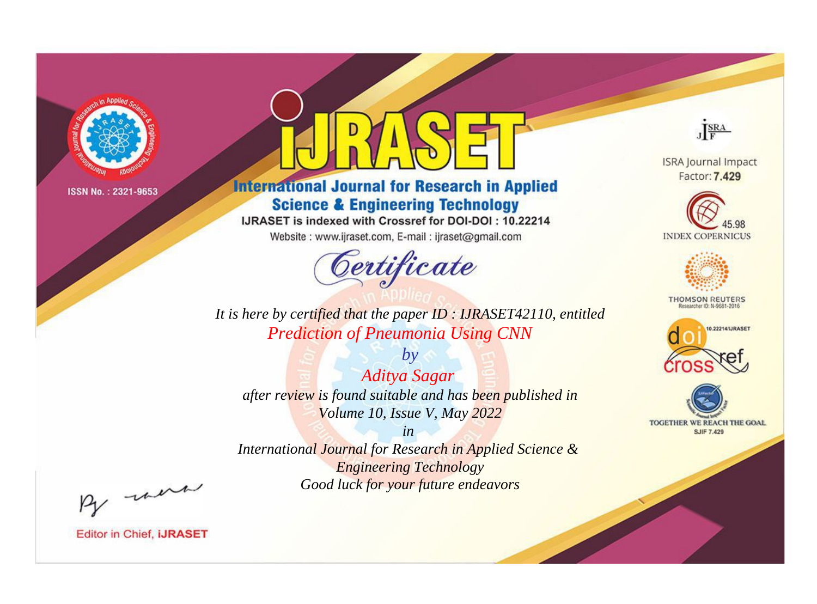

# **International Journal for Research in Applied Science & Engineering Technology**

IJRASET is indexed with Crossref for DOI-DOI: 10.22214

Website: www.ijraset.com, E-mail: ijraset@gmail.com



**ISRA Journal Impact** Factor: 7.429

JERA





**THOMSON REUTERS** 



TOGETHER WE REACH THE GOAL **SJIF 7.429** 

It is here by certified that the paper ID: IJRASET42110, entitled **Prediction of Pneumonia Using CNN** 

 $by$ **Aditya Sagar** after review is found suitable and has been published in Volume 10, Issue V, May 2022

 $in$ International Journal for Research in Applied Science & **Engineering Technology** Good luck for your future endeavors

By morn